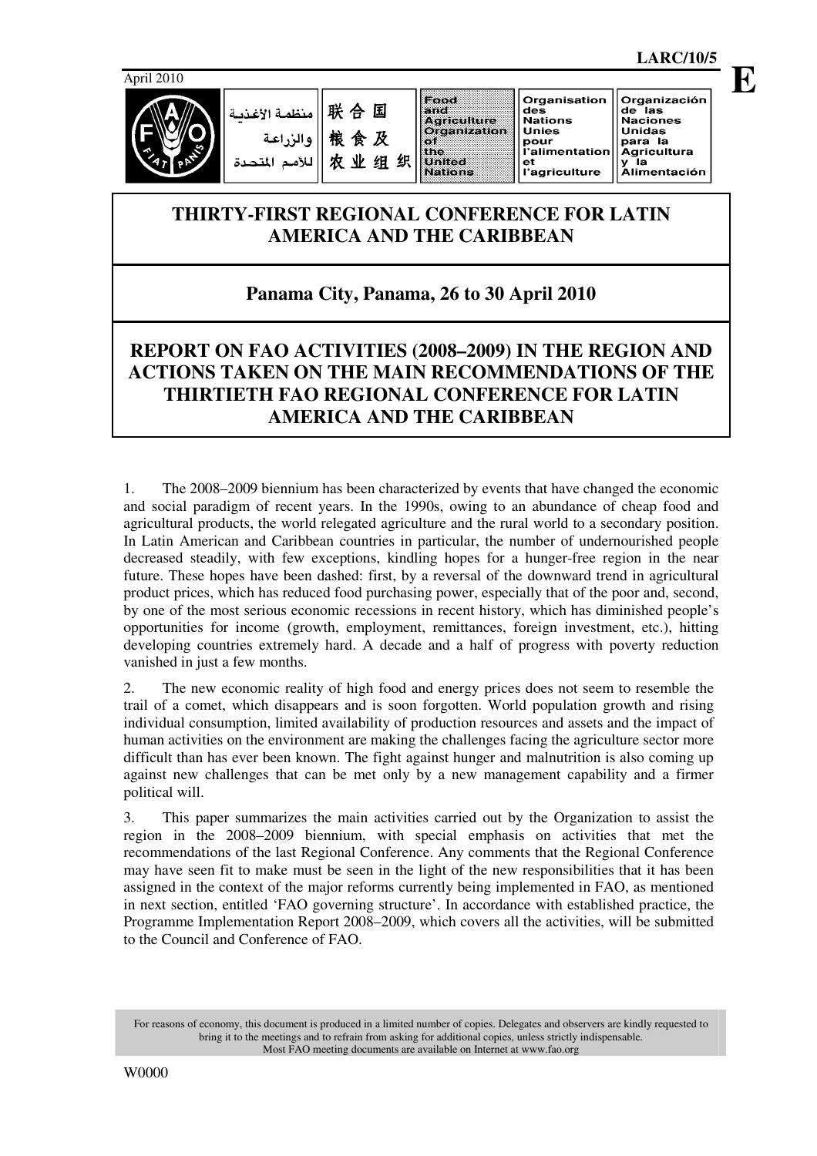

联合国 منظمة الأغذر 粮食及 农业组织

Food and<br>Agriculture **Organization** - 1 the United **Nations** 

Organisation des<br>Nations de las<br>Naciones Unidas para la r----<br>l'alimentation Agricultura xyntalitira<br>y la<br>Alimentación ะ.<br>I'agriculture

**Unies** 

pour

# Organización

**THIRTY-FIRST REGIONAL CONFERENCE FOR LATIN AMERICA AND THE CARIBBEAN** 

# **Panama City, Panama, 26 to 30 April 2010**

# **REPORT ON FAO ACTIVITIES (2008–2009) IN THE REGION AND ACTIONS TAKEN ON THE MAIN RECOMMENDATIONS OF THE THIRTIETH FAO REGIONAL CONFERENCE FOR LATIN AMERICA AND THE CARIBBEAN**

1. The 2008–2009 biennium has been characterized by events that have changed the economic and social paradigm of recent years. In the 1990s, owing to an abundance of cheap food and agricultural products, the world relegated agriculture and the rural world to a secondary position. In Latin American and Caribbean countries in particular, the number of undernourished people decreased steadily, with few exceptions, kindling hopes for a hunger-free region in the near future. These hopes have been dashed: first, by a reversal of the downward trend in agricultural product prices, which has reduced food purchasing power, especially that of the poor and, second, by one of the most serious economic recessions in recent history, which has diminished people's opportunities for income (growth, employment, remittances, foreign investment, etc.), hitting developing countries extremely hard. A decade and a half of progress with poverty reduction vanished in just a few months.

2. The new economic reality of high food and energy prices does not seem to resemble the trail of a comet, which disappears and is soon forgotten. World population growth and rising individual consumption, limited availability of production resources and assets and the impact of human activities on the environment are making the challenges facing the agriculture sector more difficult than has ever been known. The fight against hunger and malnutrition is also coming up against new challenges that can be met only by a new management capability and a firmer political will.

3. This paper summarizes the main activities carried out by the Organization to assist the region in the 2008–2009 biennium, with special emphasis on activities that met the recommendations of the last Regional Conference. Any comments that the Regional Conference may have seen fit to make must be seen in the light of the new responsibilities that it has been assigned in the context of the major reforms currently being implemented in FAO, as mentioned in next section, entitled 'FAO governing structure'. In accordance with established practice, the Programme Implementation Report 2008–2009, which covers all the activities, will be submitted to the Council and Conference of FAO.

For reasons of economy, this document is produced in a limited number of copies. Delegates and observers are kindly requested to bring it to the meetings and to refrain from asking for additional copies, unless strictly indispensable. Most FAO meeting documents are available on Internet at www.fao.org

**LARC/10/5 E**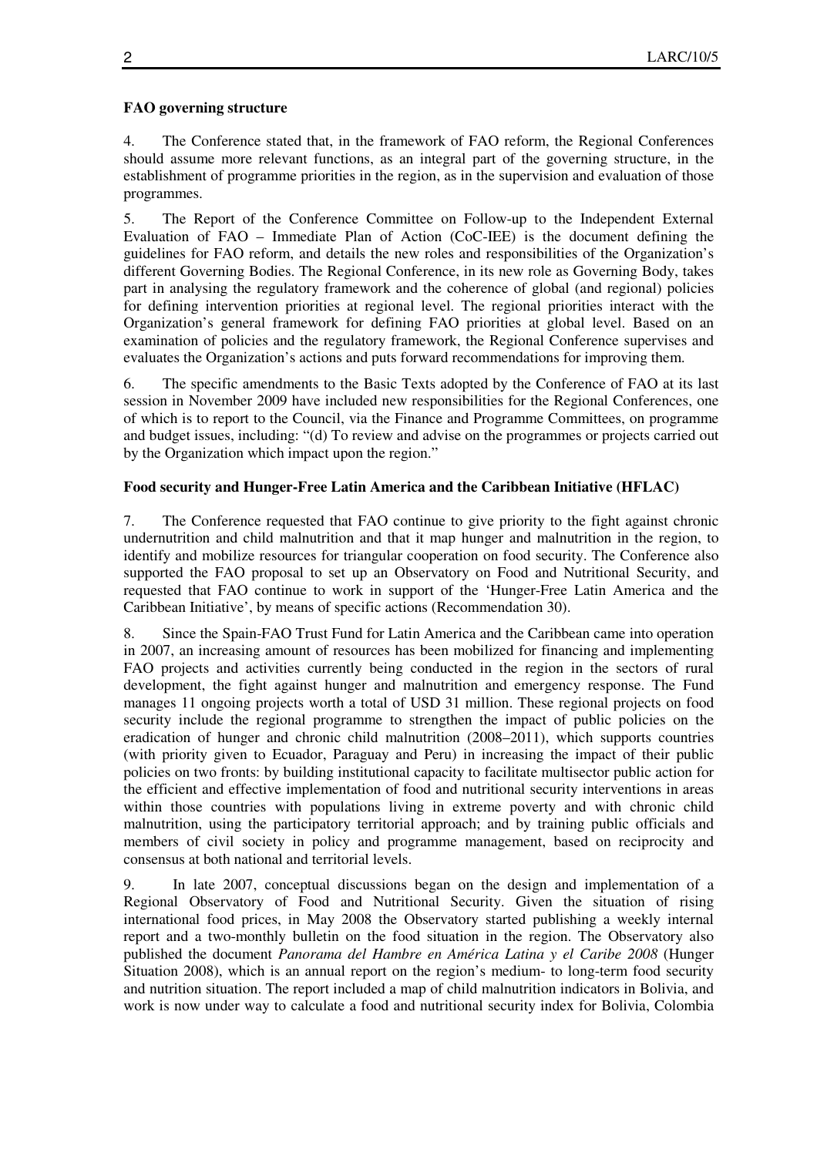#### **FAO governing structure**

4. The Conference stated that, in the framework of FAO reform, the Regional Conferences should assume more relevant functions, as an integral part of the governing structure, in the establishment of programme priorities in the region, as in the supervision and evaluation of those programmes.

5. The Report of the Conference Committee on Follow-up to the Independent External Evaluation of FAO – Immediate Plan of Action (CoC-IEE) is the document defining the guidelines for FAO reform, and details the new roles and responsibilities of the Organization's different Governing Bodies. The Regional Conference, in its new role as Governing Body, takes part in analysing the regulatory framework and the coherence of global (and regional) policies for defining intervention priorities at regional level. The regional priorities interact with the Organization's general framework for defining FAO priorities at global level. Based on an examination of policies and the regulatory framework, the Regional Conference supervises and evaluates the Organization's actions and puts forward recommendations for improving them.

6. The specific amendments to the Basic Texts adopted by the Conference of FAO at its last session in November 2009 have included new responsibilities for the Regional Conferences, one of which is to report to the Council, via the Finance and Programme Committees, on programme and budget issues, including: "(d) To review and advise on the programmes or projects carried out by the Organization which impact upon the region."

# **Food security and Hunger-Free Latin America and the Caribbean Initiative (HFLAC)**

7. The Conference requested that FAO continue to give priority to the fight against chronic undernutrition and child malnutrition and that it map hunger and malnutrition in the region, to identify and mobilize resources for triangular cooperation on food security. The Conference also supported the FAO proposal to set up an Observatory on Food and Nutritional Security, and requested that FAO continue to work in support of the 'Hunger-Free Latin America and the Caribbean Initiative', by means of specific actions (Recommendation 30).

8. Since the Spain-FAO Trust Fund for Latin America and the Caribbean came into operation in 2007, an increasing amount of resources has been mobilized for financing and implementing FAO projects and activities currently being conducted in the region in the sectors of rural development, the fight against hunger and malnutrition and emergency response. The Fund manages 11 ongoing projects worth a total of USD 31 million. These regional projects on food security include the regional programme to strengthen the impact of public policies on the eradication of hunger and chronic child malnutrition (2008–2011), which supports countries (with priority given to Ecuador, Paraguay and Peru) in increasing the impact of their public policies on two fronts: by building institutional capacity to facilitate multisector public action for the efficient and effective implementation of food and nutritional security interventions in areas within those countries with populations living in extreme poverty and with chronic child malnutrition, using the participatory territorial approach; and by training public officials and members of civil society in policy and programme management, based on reciprocity and consensus at both national and territorial levels.

9. In late 2007, conceptual discussions began on the design and implementation of a Regional Observatory of Food and Nutritional Security. Given the situation of rising international food prices, in May 2008 the Observatory started publishing a weekly internal report and a two-monthly bulletin on the food situation in the region. The Observatory also published the document *Panorama del Hambre en América Latina y el Caribe 2008* (Hunger Situation 2008), which is an annual report on the region's medium- to long-term food security and nutrition situation. The report included a map of child malnutrition indicators in Bolivia, and work is now under way to calculate a food and nutritional security index for Bolivia, Colombia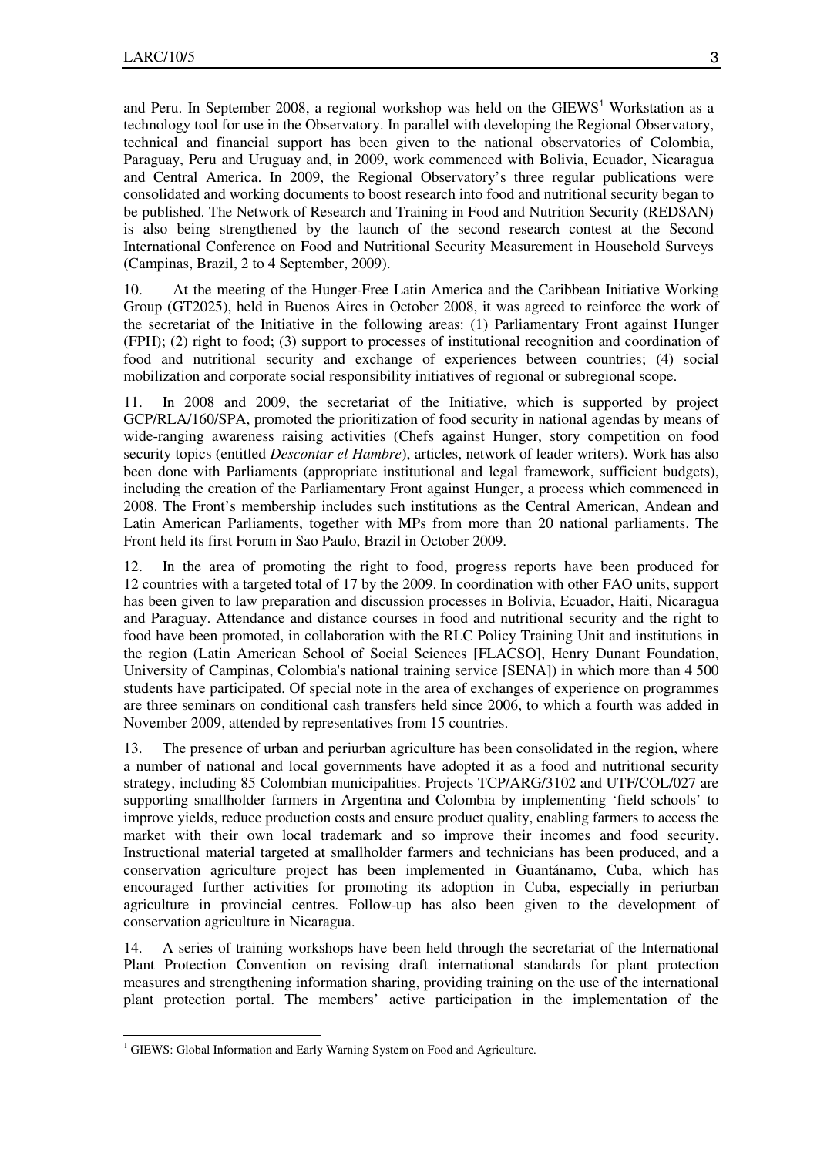and Peru. In September 2008, a regional workshop was held on the GIEWS<sup>1</sup> Workstation as a technology tool for use in the Observatory. In parallel with developing the Regional Observatory, technical and financial support has been given to the national observatories of Colombia, Paraguay, Peru and Uruguay and, in 2009, work commenced with Bolivia, Ecuador, Nicaragua and Central America. In 2009, the Regional Observatory's three regular publications were consolidated and working documents to boost research into food and nutritional security began to be published. The Network of Research and Training in Food and Nutrition Security (REDSAN) is also being strengthened by the launch of the second research contest at the Second International Conference on Food and Nutritional Security Measurement in Household Surveys (Campinas, Brazil, 2 to 4 September, 2009).

10. At the meeting of the Hunger-Free Latin America and the Caribbean Initiative Working Group (GT2025), held in Buenos Aires in October 2008, it was agreed to reinforce the work of the secretariat of the Initiative in the following areas: (1) Parliamentary Front against Hunger (FPH); (2) right to food; (3) support to processes of institutional recognition and coordination of food and nutritional security and exchange of experiences between countries; (4) social mobilization and corporate social responsibility initiatives of regional or subregional scope.

11. In 2008 and 2009, the secretariat of the Initiative, which is supported by project GCP/RLA/160/SPA, promoted the prioritization of food security in national agendas by means of wide-ranging awareness raising activities (Chefs against Hunger, story competition on food security topics (entitled *Descontar el Hambre*), articles, network of leader writers). Work has also been done with Parliaments (appropriate institutional and legal framework, sufficient budgets), including the creation of the Parliamentary Front against Hunger, a process which commenced in 2008. The Front's membership includes such institutions as the Central American, Andean and Latin American Parliaments, together with MPs from more than 20 national parliaments. The Front held its first Forum in Sao Paulo, Brazil in October 2009.

12. In the area of promoting the right to food, progress reports have been produced for 12 countries with a targeted total of 17 by the 2009. In coordination with other FAO units, support has been given to law preparation and discussion processes in Bolivia, Ecuador, Haiti, Nicaragua and Paraguay. Attendance and distance courses in food and nutritional security and the right to food have been promoted, in collaboration with the RLC Policy Training Unit and institutions in the region (Latin American School of Social Sciences [FLACSO], Henry Dunant Foundation, University of Campinas, Colombia's national training service [SENA]) in which more than 4 500 students have participated. Of special note in the area of exchanges of experience on programmes are three seminars on conditional cash transfers held since 2006, to which a fourth was added in November 2009, attended by representatives from 15 countries.

13. The presence of urban and periurban agriculture has been consolidated in the region, where a number of national and local governments have adopted it as a food and nutritional security strategy, including 85 Colombian municipalities. Projects TCP/ARG/3102 and UTF/COL/027 are supporting smallholder farmers in Argentina and Colombia by implementing 'field schools' to improve yields, reduce production costs and ensure product quality, enabling farmers to access the market with their own local trademark and so improve their incomes and food security. Instructional material targeted at smallholder farmers and technicians has been produced, and a conservation agriculture project has been implemented in Guantánamo, Cuba, which has encouraged further activities for promoting its adoption in Cuba, especially in periurban agriculture in provincial centres. Follow-up has also been given to the development of conservation agriculture in Nicaragua.

14. A series of training workshops have been held through the secretariat of the International Plant Protection Convention on revising draft international standards for plant protection measures and strengthening information sharing, providing training on the use of the international plant protection portal. The members' active participation in the implementation of the

 1 GIEWS: Global Information and Early Warning System on Food and Agriculture*.*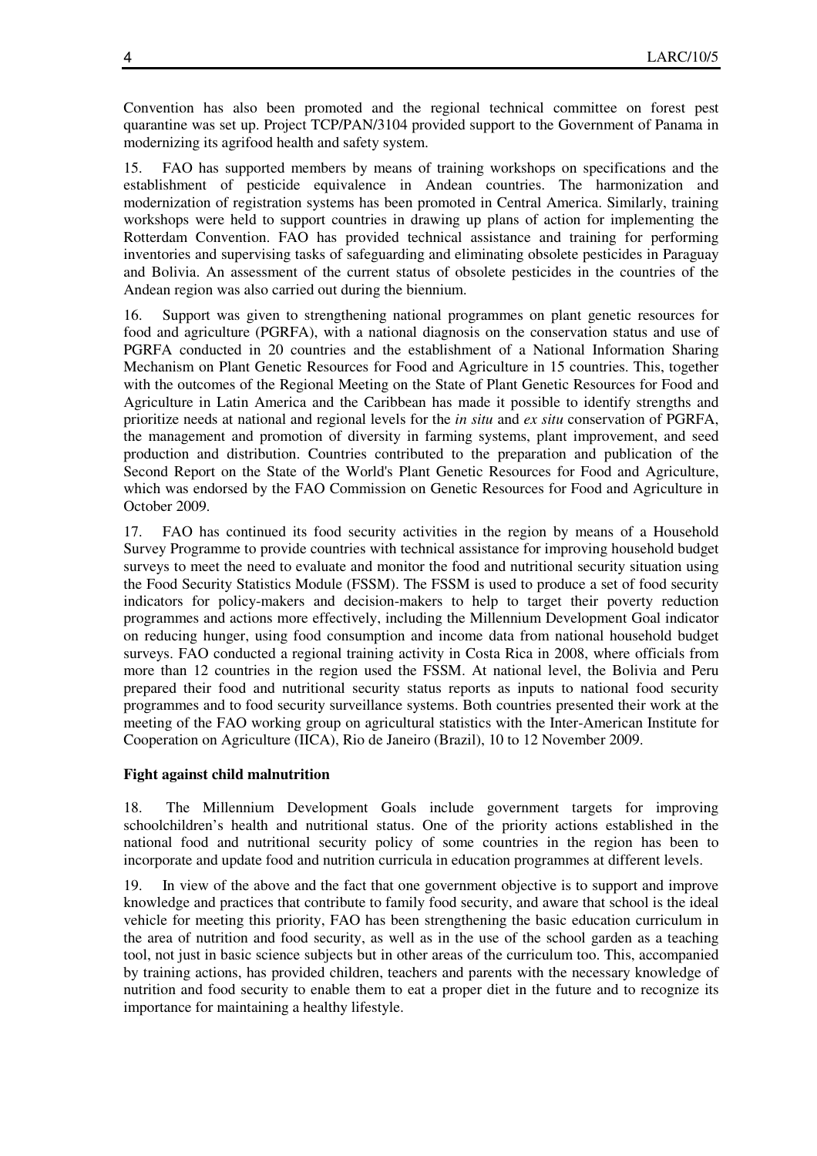Convention has also been promoted and the regional technical committee on forest pest quarantine was set up. Project TCP/PAN/3104 provided support to the Government of Panama in modernizing its agrifood health and safety system.

15. FAO has supported members by means of training workshops on specifications and the establishment of pesticide equivalence in Andean countries. The harmonization and modernization of registration systems has been promoted in Central America. Similarly, training workshops were held to support countries in drawing up plans of action for implementing the Rotterdam Convention. FAO has provided technical assistance and training for performing inventories and supervising tasks of safeguarding and eliminating obsolete pesticides in Paraguay and Bolivia. An assessment of the current status of obsolete pesticides in the countries of the Andean region was also carried out during the biennium.

16. Support was given to strengthening national programmes on plant genetic resources for food and agriculture (PGRFA), with a national diagnosis on the conservation status and use of PGRFA conducted in 20 countries and the establishment of a National Information Sharing Mechanism on Plant Genetic Resources for Food and Agriculture in 15 countries. This, together with the outcomes of the Regional Meeting on the State of Plant Genetic Resources for Food and Agriculture in Latin America and the Caribbean has made it possible to identify strengths and prioritize needs at national and regional levels for the *in situ* and *ex situ* conservation of PGRFA, the management and promotion of diversity in farming systems, plant improvement, and seed production and distribution. Countries contributed to the preparation and publication of the Second Report on the State of the World's Plant Genetic Resources for Food and Agriculture, which was endorsed by the FAO Commission on Genetic Resources for Food and Agriculture in October 2009.

17. FAO has continued its food security activities in the region by means of a Household Survey Programme to provide countries with technical assistance for improving household budget surveys to meet the need to evaluate and monitor the food and nutritional security situation using the Food Security Statistics Module (FSSM). The FSSM is used to produce a set of food security indicators for policy-makers and decision-makers to help to target their poverty reduction programmes and actions more effectively, including the Millennium Development Goal indicator on reducing hunger, using food consumption and income data from national household budget surveys. FAO conducted a regional training activity in Costa Rica in 2008, where officials from more than 12 countries in the region used the FSSM. At national level, the Bolivia and Peru prepared their food and nutritional security status reports as inputs to national food security programmes and to food security surveillance systems. Both countries presented their work at the meeting of the FAO working group on agricultural statistics with the Inter-American Institute for Cooperation on Agriculture (IICA), Rio de Janeiro (Brazil), 10 to 12 November 2009.

# **Fight against child malnutrition**

18. The Millennium Development Goals include government targets for improving schoolchildren's health and nutritional status. One of the priority actions established in the national food and nutritional security policy of some countries in the region has been to incorporate and update food and nutrition curricula in education programmes at different levels.

19. In view of the above and the fact that one government objective is to support and improve knowledge and practices that contribute to family food security, and aware that school is the ideal vehicle for meeting this priority, FAO has been strengthening the basic education curriculum in the area of nutrition and food security, as well as in the use of the school garden as a teaching tool, not just in basic science subjects but in other areas of the curriculum too. This, accompanied by training actions, has provided children, teachers and parents with the necessary knowledge of nutrition and food security to enable them to eat a proper diet in the future and to recognize its importance for maintaining a healthy lifestyle.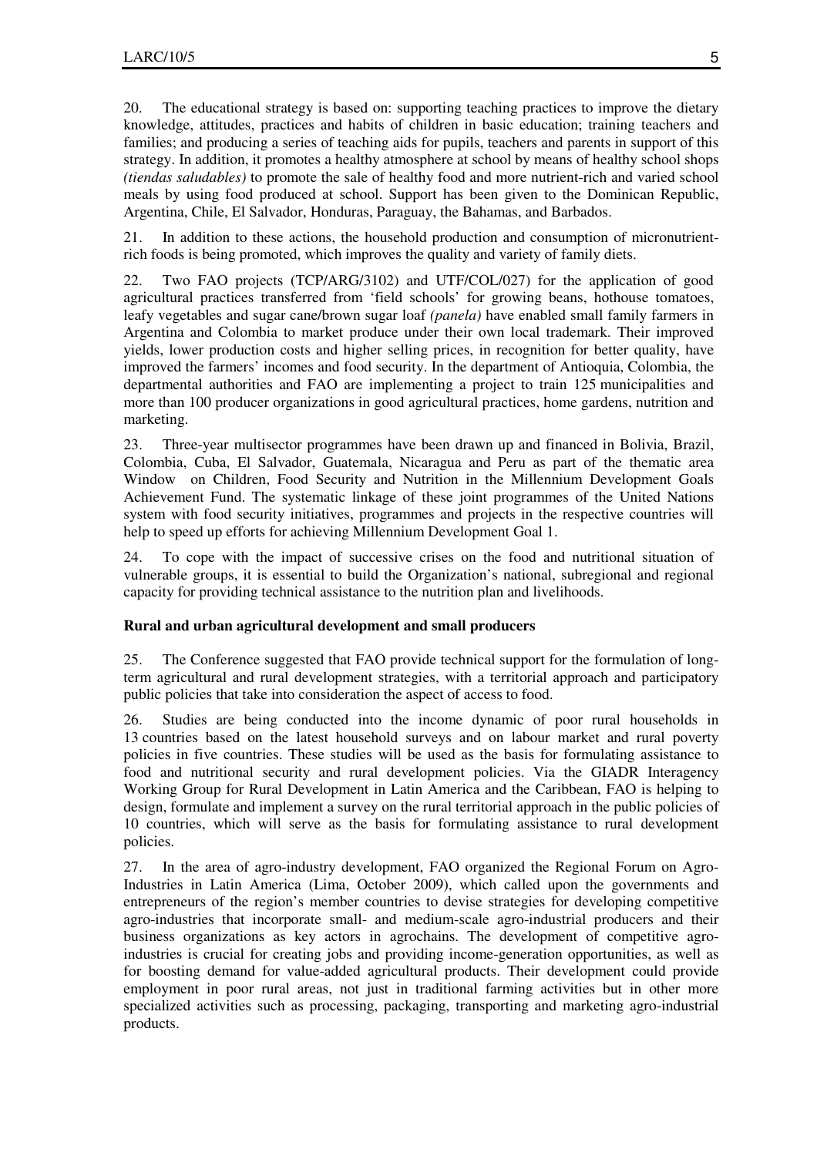20. The educational strategy is based on: supporting teaching practices to improve the dietary knowledge, attitudes, practices and habits of children in basic education; training teachers and families; and producing a series of teaching aids for pupils, teachers and parents in support of this strategy. In addition, it promotes a healthy atmosphere at school by means of healthy school shops *(tiendas saludables)* to promote the sale of healthy food and more nutrient-rich and varied school meals by using food produced at school. Support has been given to the Dominican Republic, Argentina, Chile, El Salvador, Honduras, Paraguay, the Bahamas, and Barbados.

21. In addition to these actions, the household production and consumption of micronutrientrich foods is being promoted, which improves the quality and variety of family diets.

22. Two FAO projects (TCP/ARG/3102) and UTF/COL/027) for the application of good agricultural practices transferred from 'field schools' for growing beans, hothouse tomatoes, leafy vegetables and sugar cane/brown sugar loaf *(panela)* have enabled small family farmers in Argentina and Colombia to market produce under their own local trademark. Their improved yields, lower production costs and higher selling prices, in recognition for better quality, have improved the farmers' incomes and food security. In the department of Antioquia, Colombia, the departmental authorities and FAO are implementing a project to train 125 municipalities and more than 100 producer organizations in good agricultural practices, home gardens, nutrition and marketing.

23. Three-year multisector programmes have been drawn up and financed in Bolivia, Brazil, Colombia, Cuba, El Salvador, Guatemala, Nicaragua and Peru as part of the thematic area Window on Children, Food Security and Nutrition in the Millennium Development Goals Achievement Fund. The systematic linkage of these joint programmes of the United Nations system with food security initiatives, programmes and projects in the respective countries will help to speed up efforts for achieving Millennium Development Goal 1.

24. To cope with the impact of successive crises on the food and nutritional situation of vulnerable groups, it is essential to build the Organization's national, subregional and regional capacity for providing technical assistance to the nutrition plan and livelihoods.

# **Rural and urban agricultural development and small producers**

25. The Conference suggested that FAO provide technical support for the formulation of longterm agricultural and rural development strategies, with a territorial approach and participatory public policies that take into consideration the aspect of access to food.

26. Studies are being conducted into the income dynamic of poor rural households in 13 countries based on the latest household surveys and on labour market and rural poverty policies in five countries. These studies will be used as the basis for formulating assistance to food and nutritional security and rural development policies. Via the GIADR Interagency Working Group for Rural Development in Latin America and the Caribbean, FAO is helping to design, formulate and implement a survey on the rural territorial approach in the public policies of 10 countries, which will serve as the basis for formulating assistance to rural development policies.

27. In the area of agro-industry development, FAO organized the Regional Forum on Agro-Industries in Latin America (Lima, October 2009), which called upon the governments and entrepreneurs of the region's member countries to devise strategies for developing competitive agro-industries that incorporate small- and medium-scale agro-industrial producers and their business organizations as key actors in agrochains. The development of competitive agroindustries is crucial for creating jobs and providing income-generation opportunities, as well as for boosting demand for value-added agricultural products. Their development could provide employment in poor rural areas, not just in traditional farming activities but in other more specialized activities such as processing, packaging, transporting and marketing agro-industrial products.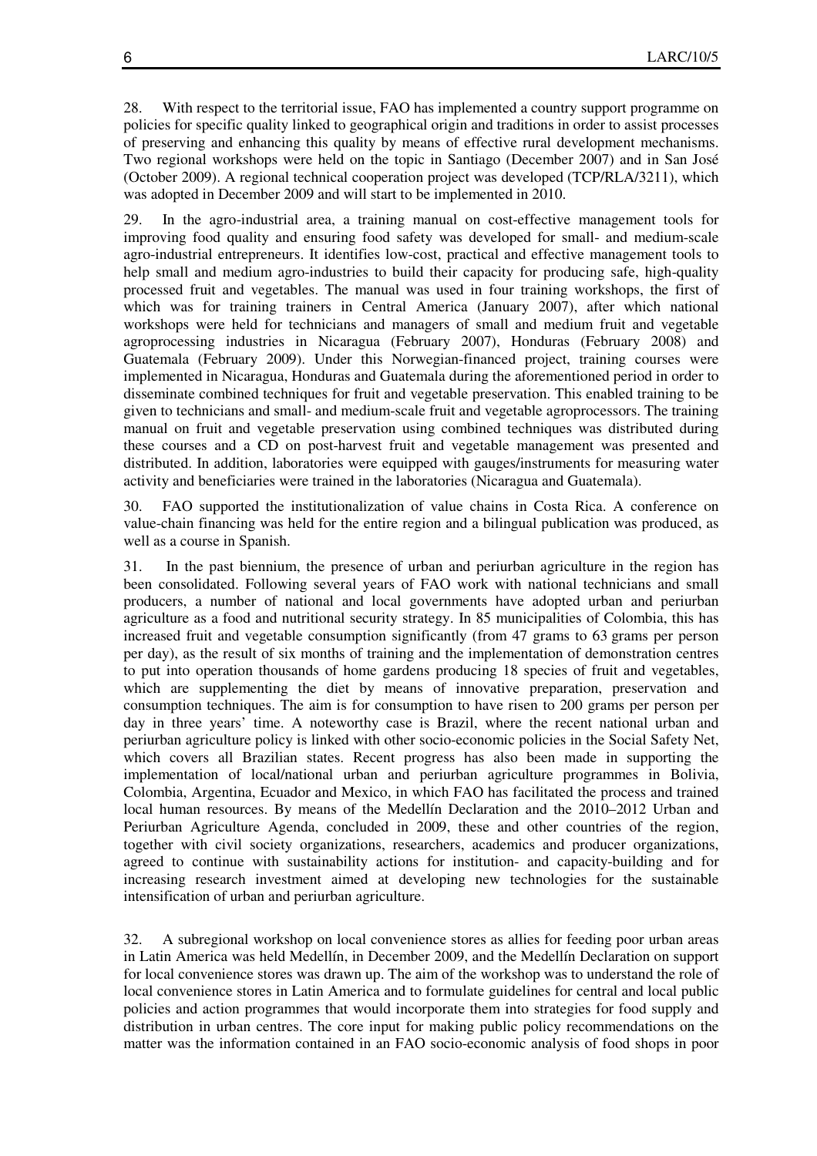28. With respect to the territorial issue, FAO has implemented a country support programme on policies for specific quality linked to geographical origin and traditions in order to assist processes of preserving and enhancing this quality by means of effective rural development mechanisms. Two regional workshops were held on the topic in Santiago (December 2007) and in San José (October 2009). A regional technical cooperation project was developed (TCP/RLA/3211), which was adopted in December 2009 and will start to be implemented in 2010.

29. In the agro-industrial area, a training manual on cost-effective management tools for improving food quality and ensuring food safety was developed for small- and medium-scale agro-industrial entrepreneurs. It identifies low-cost, practical and effective management tools to help small and medium agro-industries to build their capacity for producing safe, high-quality processed fruit and vegetables. The manual was used in four training workshops, the first of which was for training trainers in Central America (January 2007), after which national workshops were held for technicians and managers of small and medium fruit and vegetable agroprocessing industries in Nicaragua (February 2007), Honduras (February 2008) and Guatemala (February 2009). Under this Norwegian-financed project, training courses were implemented in Nicaragua, Honduras and Guatemala during the aforementioned period in order to disseminate combined techniques for fruit and vegetable preservation. This enabled training to be given to technicians and small- and medium-scale fruit and vegetable agroprocessors. The training manual on fruit and vegetable preservation using combined techniques was distributed during these courses and a CD on post-harvest fruit and vegetable management was presented and distributed. In addition, laboratories were equipped with gauges/instruments for measuring water activity and beneficiaries were trained in the laboratories (Nicaragua and Guatemala).

30. FAO supported the institutionalization of value chains in Costa Rica. A conference on value-chain financing was held for the entire region and a bilingual publication was produced, as well as a course in Spanish.

31. In the past biennium, the presence of urban and periurban agriculture in the region has been consolidated. Following several years of FAO work with national technicians and small producers, a number of national and local governments have adopted urban and periurban agriculture as a food and nutritional security strategy. In 85 municipalities of Colombia, this has increased fruit and vegetable consumption significantly (from 47 grams to 63 grams per person per day), as the result of six months of training and the implementation of demonstration centres to put into operation thousands of home gardens producing 18 species of fruit and vegetables, which are supplementing the diet by means of innovative preparation, preservation and consumption techniques. The aim is for consumption to have risen to 200 grams per person per day in three years' time. A noteworthy case is Brazil, where the recent national urban and periurban agriculture policy is linked with other socio-economic policies in the Social Safety Net, which covers all Brazilian states. Recent progress has also been made in supporting the implementation of local/national urban and periurban agriculture programmes in Bolivia, Colombia, Argentina, Ecuador and Mexico, in which FAO has facilitated the process and trained local human resources. By means of the Medellín Declaration and the 2010–2012 Urban and Periurban Agriculture Agenda, concluded in 2009, these and other countries of the region, together with civil society organizations, researchers, academics and producer organizations, agreed to continue with sustainability actions for institution- and capacity-building and for increasing research investment aimed at developing new technologies for the sustainable intensification of urban and periurban agriculture.

32. A subregional workshop on local convenience stores as allies for feeding poor urban areas in Latin America was held Medellín, in December 2009, and the Medellín Declaration on support for local convenience stores was drawn up. The aim of the workshop was to understand the role of local convenience stores in Latin America and to formulate guidelines for central and local public policies and action programmes that would incorporate them into strategies for food supply and distribution in urban centres. The core input for making public policy recommendations on the matter was the information contained in an FAO socio-economic analysis of food shops in poor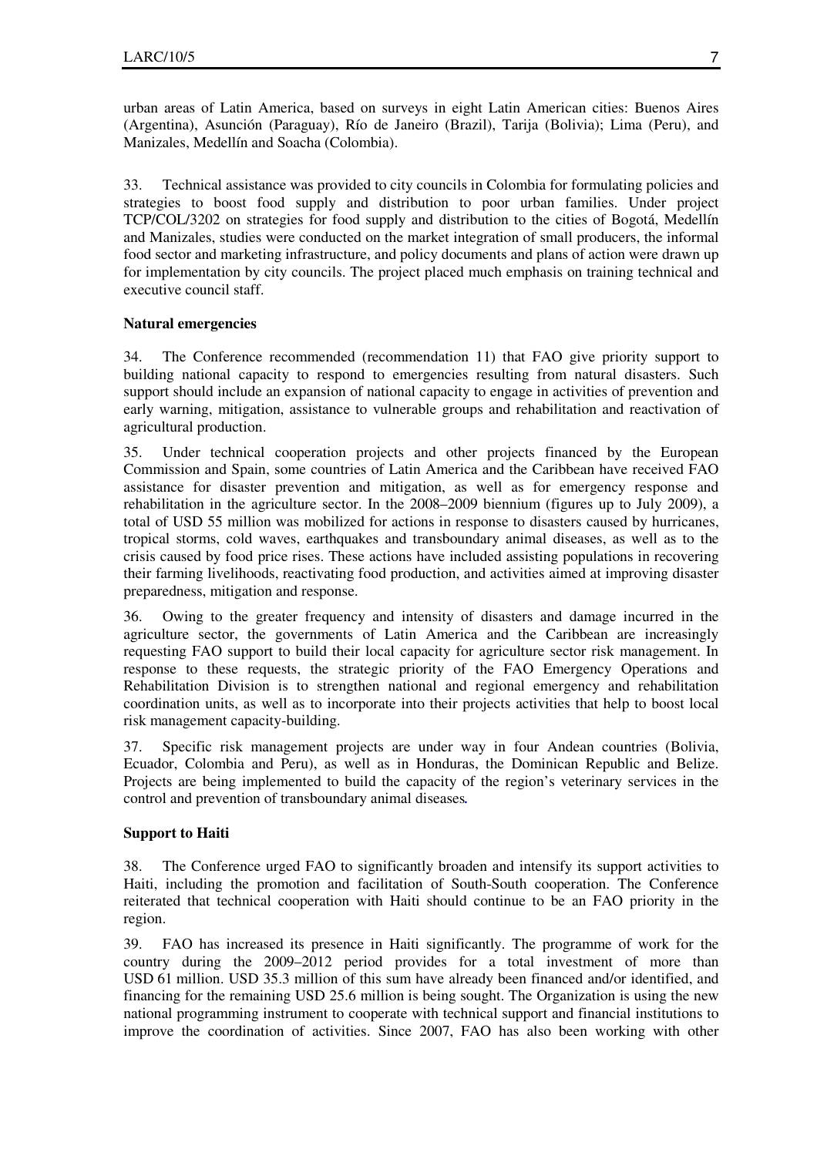urban areas of Latin America, based on surveys in eight Latin American cities: Buenos Aires (Argentina), Asunción (Paraguay), Río de Janeiro (Brazil), Tarija (Bolivia); Lima (Peru), and Manizales, Medellín and Soacha (Colombia).

33. Technical assistance was provided to city councils in Colombia for formulating policies and strategies to boost food supply and distribution to poor urban families. Under project TCP/COL/3202 on strategies for food supply and distribution to the cities of Bogotá, Medellín and Manizales, studies were conducted on the market integration of small producers, the informal food sector and marketing infrastructure, and policy documents and plans of action were drawn up for implementation by city councils. The project placed much emphasis on training technical and executive council staff.

# **Natural emergencies**

34. The Conference recommended (recommendation 11) that FAO give priority support to building national capacity to respond to emergencies resulting from natural disasters. Such support should include an expansion of national capacity to engage in activities of prevention and early warning, mitigation, assistance to vulnerable groups and rehabilitation and reactivation of agricultural production.

35. Under technical cooperation projects and other projects financed by the European Commission and Spain, some countries of Latin America and the Caribbean have received FAO assistance for disaster prevention and mitigation, as well as for emergency response and rehabilitation in the agriculture sector. In the 2008–2009 biennium (figures up to July 2009), a total of USD 55 million was mobilized for actions in response to disasters caused by hurricanes, tropical storms, cold waves, earthquakes and transboundary animal diseases, as well as to the crisis caused by food price rises. These actions have included assisting populations in recovering their farming livelihoods, reactivating food production, and activities aimed at improving disaster preparedness, mitigation and response.

36. Owing to the greater frequency and intensity of disasters and damage incurred in the agriculture sector, the governments of Latin America and the Caribbean are increasingly requesting FAO support to build their local capacity for agriculture sector risk management. In response to these requests, the strategic priority of the FAO Emergency Operations and Rehabilitation Division is to strengthen national and regional emergency and rehabilitation coordination units, as well as to incorporate into their projects activities that help to boost local risk management capacity-building.

37. Specific risk management projects are under way in four Andean countries (Bolivia, Ecuador, Colombia and Peru), as well as in Honduras, the Dominican Republic and Belize. Projects are being implemented to build the capacity of the region's veterinary services in the control and prevention of transboundary animal diseases*.*

# **Support to Haiti**

38. The Conference urged FAO to significantly broaden and intensify its support activities to Haiti, including the promotion and facilitation of South-South cooperation. The Conference reiterated that technical cooperation with Haiti should continue to be an FAO priority in the region.

39. FAO has increased its presence in Haiti significantly. The programme of work for the country during the 2009–2012 period provides for a total investment of more than USD 61 million. USD 35.3 million of this sum have already been financed and/or identified, and financing for the remaining USD 25.6 million is being sought. The Organization is using the new national programming instrument to cooperate with technical support and financial institutions to improve the coordination of activities. Since 2007, FAO has also been working with other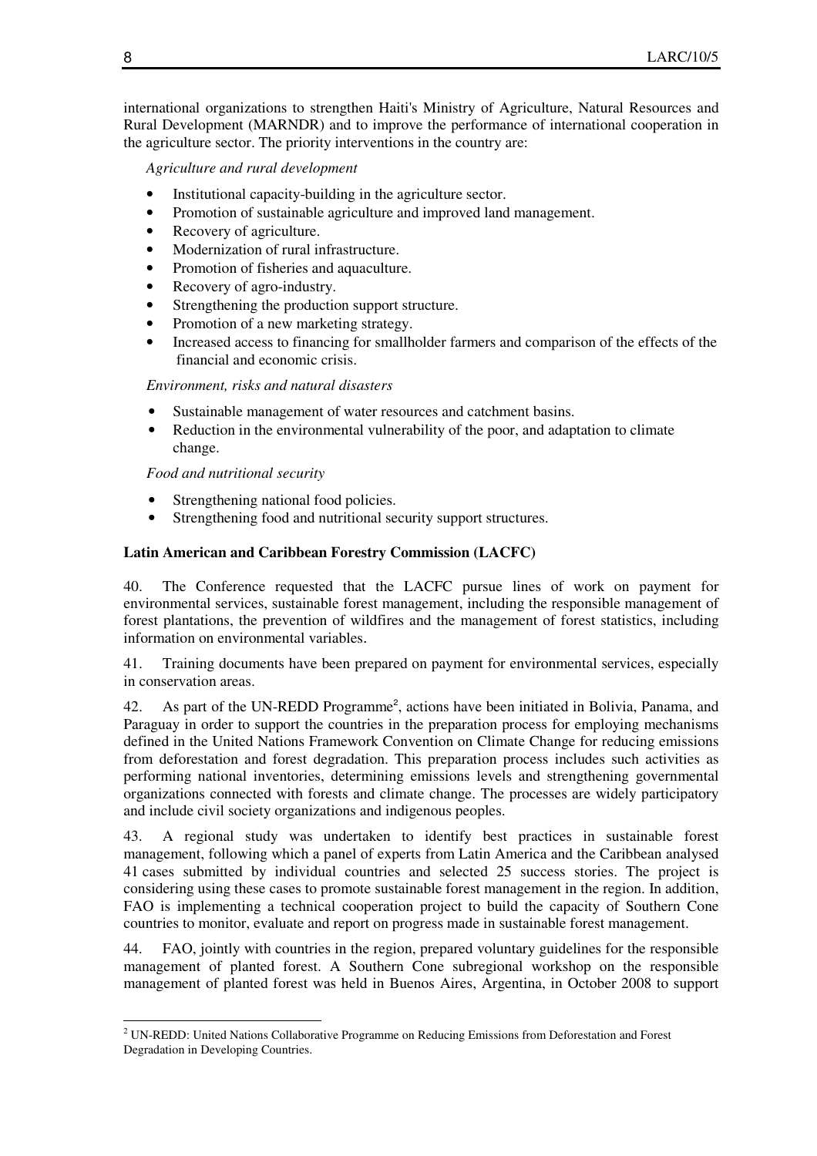international organizations to strengthen Haiti's Ministry of Agriculture, Natural Resources and Rural Development (MARNDR) and to improve the performance of international cooperation in the agriculture sector. The priority interventions in the country are:

 *Agriculture and rural development* 

- Institutional capacity-building in the agriculture sector.
- Promotion of sustainable agriculture and improved land management.
- Recovery of agriculture.
- Modernization of rural infrastructure.
- Promotion of fisheries and aquaculture.
- Recovery of agro-industry.
- Strengthening the production support structure.
- Promotion of a new marketing strategy.
- Increased access to financing for smallholder farmers and comparison of the effects of the financial and economic crisis.

 *Environment, risks and natural disasters* 

- Sustainable management of water resources and catchment basins.
- Reduction in the environmental vulnerability of the poor, and adaptation to climate change.

 *Food and nutritional security* 

- Strengthening national food policies.
- Strengthening food and nutritional security support structures.

# **Latin American and Caribbean Forestry Commission (LACFC)**

40. The Conference requested that the LACFC pursue lines of work on payment for environmental services, sustainable forest management, including the responsible management of forest plantations, the prevention of wildfires and the management of forest statistics, including information on environmental variables.

41. Training documents have been prepared on payment for environmental services, especially in conservation areas.

42. As part of the UN-REDD Programme<sup>2</sup>, actions have been initiated in Bolivia, Panama, and Paraguay in order to support the countries in the preparation process for employing mechanisms defined in the United Nations Framework Convention on Climate Change for reducing emissions from deforestation and forest degradation. This preparation process includes such activities as performing national inventories, determining emissions levels and strengthening governmental organizations connected with forests and climate change. The processes are widely participatory and include civil society organizations and indigenous peoples.

43. A regional study was undertaken to identify best practices in sustainable forest management, following which a panel of experts from Latin America and the Caribbean analysed 41 cases submitted by individual countries and selected 25 success stories. The project is considering using these cases to promote sustainable forest management in the region. In addition, FAO is implementing a technical cooperation project to build the capacity of Southern Cone countries to monitor, evaluate and report on progress made in sustainable forest management.

44. FAO, jointly with countries in the region, prepared voluntary guidelines for the responsible management of planted forest. A Southern Cone subregional workshop on the responsible management of planted forest was held in Buenos Aires, Argentina, in October 2008 to support

 $\overline{a}$ <sup>2</sup> UN-REDD: United Nations Collaborative Programme on Reducing Emissions from Deforestation and Forest Degradation in Developing Countries.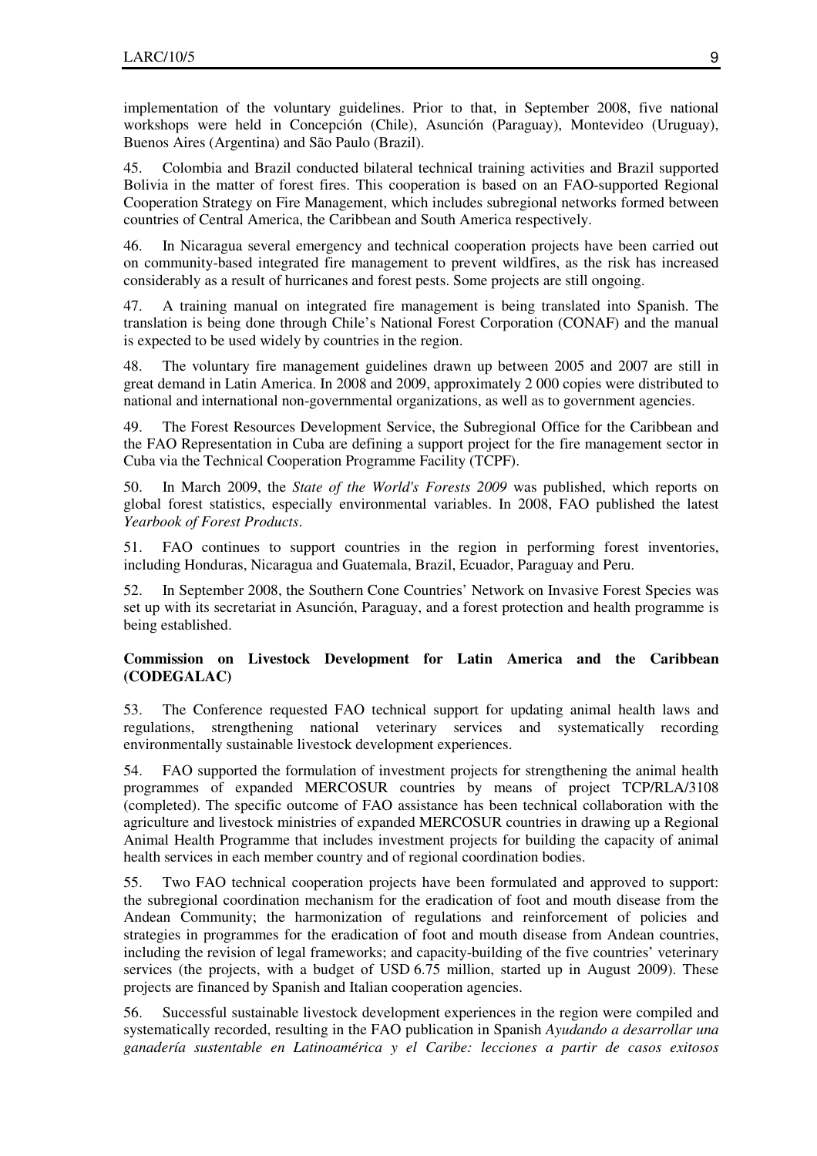implementation of the voluntary guidelines. Prior to that, in September 2008, five national workshops were held in Concepción (Chile), Asunción (Paraguay), Montevideo (Uruguay), Buenos Aires (Argentina) and São Paulo (Brazil).

45. Colombia and Brazil conducted bilateral technical training activities and Brazil supported Bolivia in the matter of forest fires. This cooperation is based on an FAO-supported Regional Cooperation Strategy on Fire Management, which includes subregional networks formed between countries of Central America, the Caribbean and South America respectively.

46. In Nicaragua several emergency and technical cooperation projects have been carried out on community-based integrated fire management to prevent wildfires, as the risk has increased considerably as a result of hurricanes and forest pests. Some projects are still ongoing.

47. A training manual on integrated fire management is being translated into Spanish. The translation is being done through Chile's National Forest Corporation (CONAF) and the manual is expected to be used widely by countries in the region.

48. The voluntary fire management guidelines drawn up between 2005 and 2007 are still in great demand in Latin America. In 2008 and 2009, approximately 2 000 copies were distributed to national and international non-governmental organizations, as well as to government agencies.

49. The Forest Resources Development Service, the Subregional Office for the Caribbean and the FAO Representation in Cuba are defining a support project for the fire management sector in Cuba via the Technical Cooperation Programme Facility (TCPF).

50. In March 2009, the *State of the World's Forests 2009* was published, which reports on global forest statistics, especially environmental variables. In 2008, FAO published the latest *Yearbook of Forest Products*.

51. FAO continues to support countries in the region in performing forest inventories, including Honduras, Nicaragua and Guatemala, Brazil, Ecuador, Paraguay and Peru.

52. In September 2008, the Southern Cone Countries' Network on Invasive Forest Species was set up with its secretariat in Asunción, Paraguay, and a forest protection and health programme is being established.

# **Commission on Livestock Development for Latin America and the Caribbean (CODEGALAC)**

53. The Conference requested FAO technical support for updating animal health laws and regulations, strengthening national veterinary services and systematically recording environmentally sustainable livestock development experiences.

54. FAO supported the formulation of investment projects for strengthening the animal health programmes of expanded MERCOSUR countries by means of project TCP/RLA/3108 (completed). The specific outcome of FAO assistance has been technical collaboration with the agriculture and livestock ministries of expanded MERCOSUR countries in drawing up a Regional Animal Health Programme that includes investment projects for building the capacity of animal health services in each member country and of regional coordination bodies.

55. Two FAO technical cooperation projects have been formulated and approved to support: the subregional coordination mechanism for the eradication of foot and mouth disease from the Andean Community; the harmonization of regulations and reinforcement of policies and strategies in programmes for the eradication of foot and mouth disease from Andean countries, including the revision of legal frameworks; and capacity-building of the five countries' veterinary services (the projects, with a budget of USD 6.75 million, started up in August 2009). These projects are financed by Spanish and Italian cooperation agencies.

56. Successful sustainable livestock development experiences in the region were compiled and systematically recorded, resulting in the FAO publication in Spanish *Ayudando a desarrollar una ganadería sustentable en Latinoamérica y el Caribe: lecciones a partir de casos exitosos*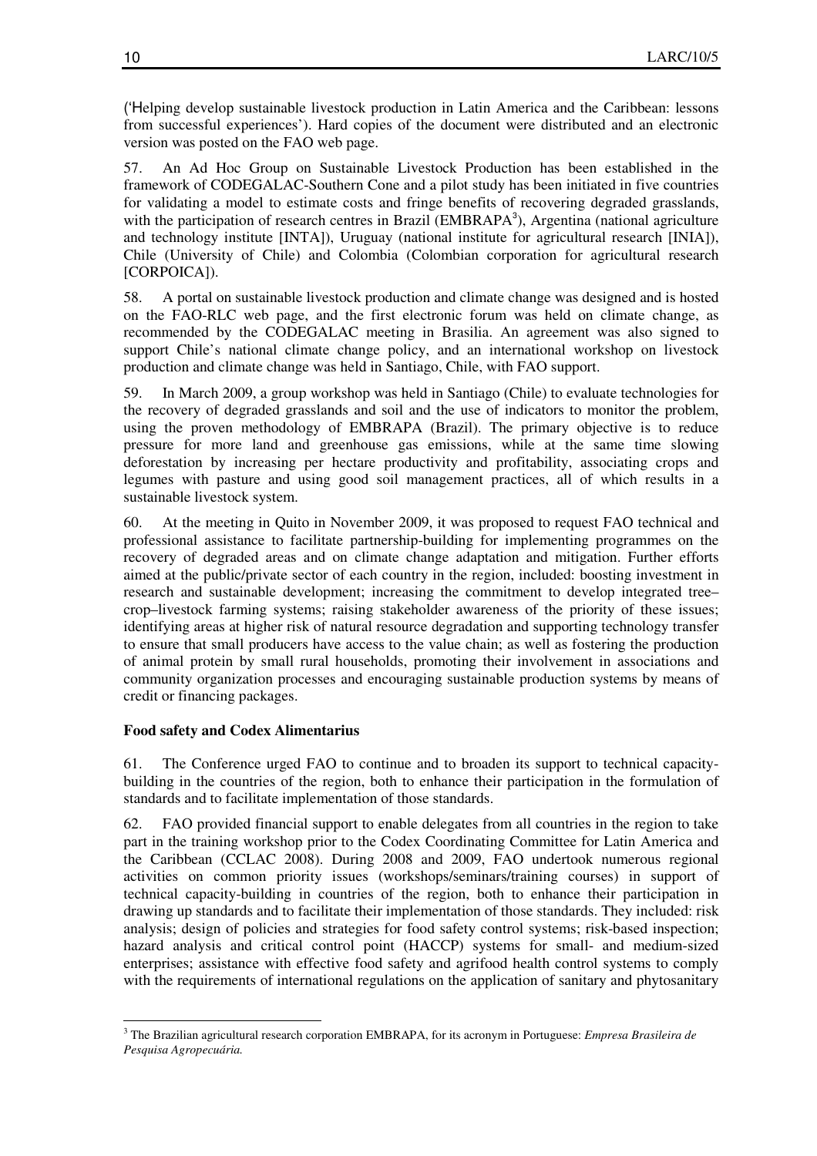('Helping develop sustainable livestock production in Latin America and the Caribbean: lessons from successful experiences'). Hard copies of the document were distributed and an electronic version was posted on the FAO web page.

57. An Ad Hoc Group on Sustainable Livestock Production has been established in the framework of CODEGALAC-Southern Cone and a pilot study has been initiated in five countries for validating a model to estimate costs and fringe benefits of recovering degraded grasslands, with the participation of research centres in Brazil (EMBRAPA<sup>3</sup>), Argentina (national agriculture and technology institute [INTA]), Uruguay (national institute for agricultural research [INIA]), Chile (University of Chile) and Colombia (Colombian corporation for agricultural research [CORPOICA]).

58. A portal on sustainable livestock production and climate change was designed and is hosted on the FAO-RLC web page, and the first electronic forum was held on climate change, as recommended by the CODEGALAC meeting in Brasilia. An agreement was also signed to support Chile's national climate change policy, and an international workshop on livestock production and climate change was held in Santiago, Chile, with FAO support.

59. In March 2009, a group workshop was held in Santiago (Chile) to evaluate technologies for the recovery of degraded grasslands and soil and the use of indicators to monitor the problem, using the proven methodology of EMBRAPA (Brazil). The primary objective is to reduce pressure for more land and greenhouse gas emissions, while at the same time slowing deforestation by increasing per hectare productivity and profitability, associating crops and legumes with pasture and using good soil management practices, all of which results in a sustainable livestock system.

60. At the meeting in Quito in November 2009, it was proposed to request FAO technical and professional assistance to facilitate partnership-building for implementing programmes on the recovery of degraded areas and on climate change adaptation and mitigation. Further efforts aimed at the public/private sector of each country in the region, included: boosting investment in research and sustainable development; increasing the commitment to develop integrated tree– crop–livestock farming systems; raising stakeholder awareness of the priority of these issues; identifying areas at higher risk of natural resource degradation and supporting technology transfer to ensure that small producers have access to the value chain; as well as fostering the production of animal protein by small rural households, promoting their involvement in associations and community organization processes and encouraging sustainable production systems by means of credit or financing packages.

# **Food safety and Codex Alimentarius**

 $\overline{a}$ 

61. The Conference urged FAO to continue and to broaden its support to technical capacitybuilding in the countries of the region, both to enhance their participation in the formulation of standards and to facilitate implementation of those standards.

62. FAO provided financial support to enable delegates from all countries in the region to take part in the training workshop prior to the Codex Coordinating Committee for Latin America and the Caribbean (CCLAC 2008). During 2008 and 2009, FAO undertook numerous regional activities on common priority issues (workshops/seminars/training courses) in support of technical capacity-building in countries of the region, both to enhance their participation in drawing up standards and to facilitate their implementation of those standards. They included: risk analysis; design of policies and strategies for food safety control systems; risk-based inspection; hazard analysis and critical control point (HACCP) systems for small- and medium-sized enterprises; assistance with effective food safety and agrifood health control systems to comply with the requirements of international regulations on the application of sanitary and phytosanitary

<sup>3</sup> The Brazilian agricultural research corporation EMBRAPA, for its acronym in Portuguese: *Empresa Brasileira de Pesquisa Agropecuária.*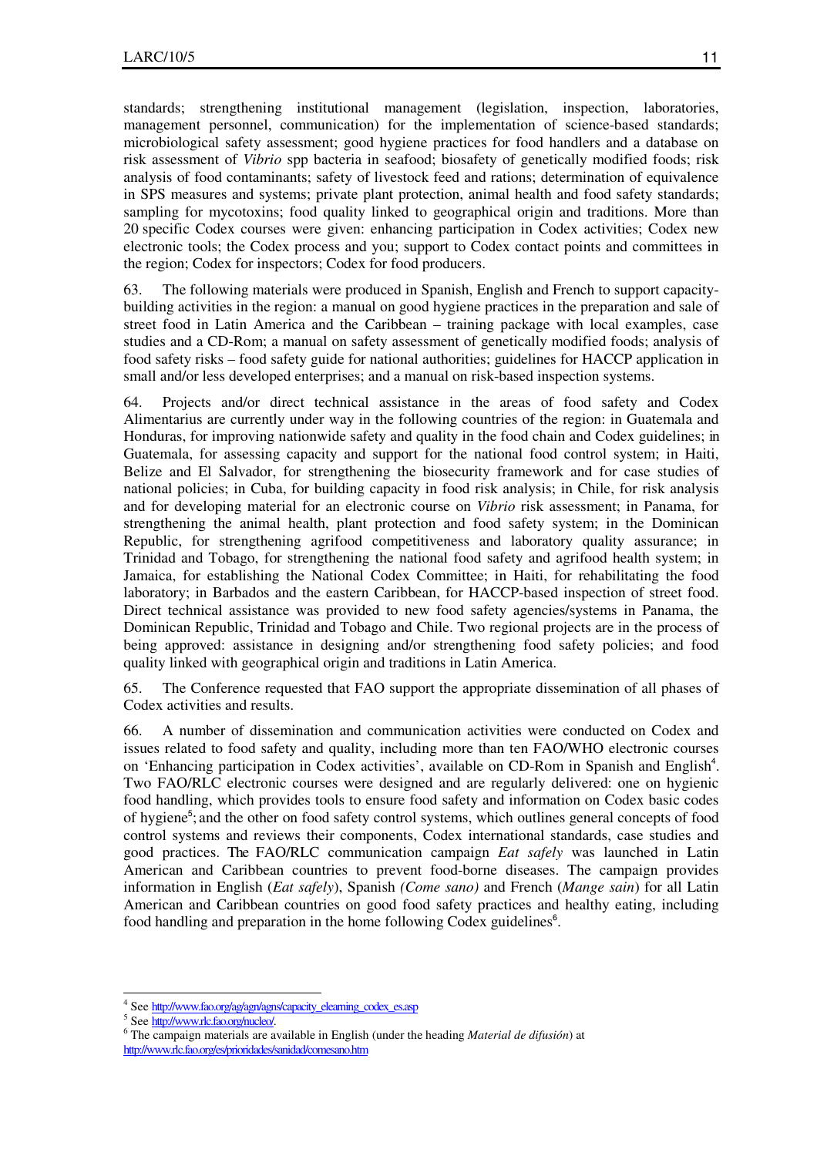standards; strengthening institutional management (legislation, inspection, laboratories, management personnel, communication) for the implementation of science-based standards; microbiological safety assessment; good hygiene practices for food handlers and a database on risk assessment of *Vibrio* spp bacteria in seafood; biosafety of genetically modified foods; risk analysis of food contaminants; safety of livestock feed and rations; determination of equivalence in SPS measures and systems; private plant protection, animal health and food safety standards; sampling for mycotoxins; food quality linked to geographical origin and traditions. More than 20 specific Codex courses were given: enhancing participation in Codex activities; Codex new electronic tools; the Codex process and you; support to Codex contact points and committees in the region; Codex for inspectors; Codex for food producers.

63. The following materials were produced in Spanish, English and French to support capacitybuilding activities in the region: a manual on good hygiene practices in the preparation and sale of street food in Latin America and the Caribbean – training package with local examples, case studies and a CD-Rom; a manual on safety assessment of genetically modified foods; analysis of food safety risks – food safety guide for national authorities; guidelines for HACCP application in small and/or less developed enterprises; and a manual on risk-based inspection systems.

64. Projects and/or direct technical assistance in the areas of food safety and Codex Alimentarius are currently under way in the following countries of the region: in Guatemala and Honduras, for improving nationwide safety and quality in the food chain and Codex guidelines; in Guatemala, for assessing capacity and support for the national food control system; in Haiti, Belize and El Salvador, for strengthening the biosecurity framework and for case studies of national policies; in Cuba, for building capacity in food risk analysis; in Chile, for risk analysis and for developing material for an electronic course on *Vibrio* risk assessment; in Panama, for strengthening the animal health, plant protection and food safety system; in the Dominican Republic, for strengthening agrifood competitiveness and laboratory quality assurance; in Trinidad and Tobago, for strengthening the national food safety and agrifood health system; in Jamaica, for establishing the National Codex Committee; in Haiti, for rehabilitating the food laboratory; in Barbados and the eastern Caribbean, for HACCP-based inspection of street food. Direct technical assistance was provided to new food safety agencies/systems in Panama, the Dominican Republic, Trinidad and Tobago and Chile. Two regional projects are in the process of being approved: assistance in designing and/or strengthening food safety policies; and food quality linked with geographical origin and traditions in Latin America.

65. The Conference requested that FAO support the appropriate dissemination of all phases of Codex activities and results.

66. A number of dissemination and communication activities were conducted on Codex and issues related to food safety and quality, including more than ten FAO/WHO electronic courses on 'Enhancing participation in Codex activities', available on CD-Rom in Spanish and English<sup>4</sup>. Two FAO/RLC electronic courses were designed and are regularly delivered: one on hygienic food handling, which provides tools to ensure food safety and information on Codex basic codes of hygiene<sup>5</sup>; and the other on food safety control systems, which outlines general concepts of food control systems and reviews their components, Codex international standards, case studies and good practices. The FAO/RLC communication campaign *Eat safely* was launched in Latin American and Caribbean countries to prevent food-borne diseases. The campaign provides information in English (*Eat safely*), Spanish *(Come sano)* and French (*Mange sain*) for all Latin American and Caribbean countries on good food safety practices and healthy eating, including food handling and preparation in the home following Codex guidelines<sup>6</sup>.

 $\overline{a}$ 

<sup>&</sup>lt;sup>4</sup> See http://www.fao.org/ag/agn/agns/capacity\_elearning\_codex\_es.asp

<sup>&</sup>lt;sup>5</sup> See http://www.rlc.fao.org/nucleo/.

<sup>6</sup> The campaign materials are available in English (under the heading *Material de difusión*) at http://www.rlc.fao.org/es/prioridades/sanidad/comesano.htm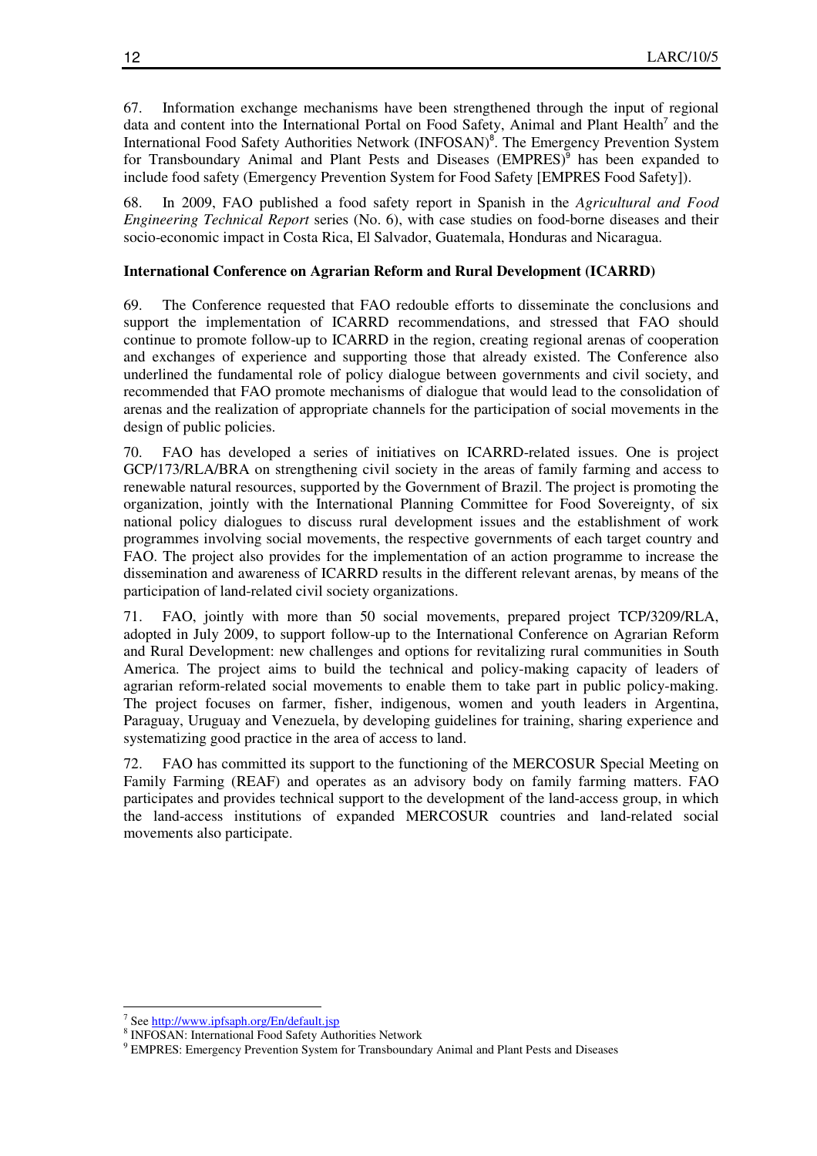67. Information exchange mechanisms have been strengthened through the input of regional data and content into the International Portal on Food Safety, Animal and Plant Health<sup>7</sup> and the International Food Safety Authorities Network (INFOSAN)<sup>8</sup>. The Emergency Prevention System for Transboundary Animal and Plant Pests and Diseases (EMPRES)<sup>9</sup> has been expanded to include food safety (Emergency Prevention System for Food Safety [EMPRES Food Safety]).

68. In 2009, FAO published a food safety report in Spanish in the *Agricultural and Food Engineering Technical Report* series (No. 6), with case studies on food-borne diseases and their socio-economic impact in Costa Rica, El Salvador, Guatemala, Honduras and Nicaragua.

# **International Conference on Agrarian Reform and Rural Development (ICARRD)**

69. The Conference requested that FAO redouble efforts to disseminate the conclusions and support the implementation of ICARRD recommendations, and stressed that FAO should continue to promote follow-up to ICARRD in the region, creating regional arenas of cooperation and exchanges of experience and supporting those that already existed. The Conference also underlined the fundamental role of policy dialogue between governments and civil society, and recommended that FAO promote mechanisms of dialogue that would lead to the consolidation of arenas and the realization of appropriate channels for the participation of social movements in the design of public policies.

70. FAO has developed a series of initiatives on ICARRD-related issues. One is project GCP/173/RLA/BRA on strengthening civil society in the areas of family farming and access to renewable natural resources, supported by the Government of Brazil. The project is promoting the organization, jointly with the International Planning Committee for Food Sovereignty, of six national policy dialogues to discuss rural development issues and the establishment of work programmes involving social movements, the respective governments of each target country and FAO. The project also provides for the implementation of an action programme to increase the dissemination and awareness of ICARRD results in the different relevant arenas, by means of the participation of land-related civil society organizations.

71. FAO, jointly with more than 50 social movements, prepared project TCP/3209/RLA, adopted in July 2009, to support follow-up to the International Conference on Agrarian Reform and Rural Development: new challenges and options for revitalizing rural communities in South America. The project aims to build the technical and policy-making capacity of leaders of agrarian reform-related social movements to enable them to take part in public policy-making. The project focuses on farmer, fisher, indigenous, women and youth leaders in Argentina, Paraguay, Uruguay and Venezuela, by developing guidelines for training, sharing experience and systematizing good practice in the area of access to land.

72. FAO has committed its support to the functioning of the MERCOSUR Special Meeting on Family Farming (REAF) and operates as an advisory body on family farming matters. FAO participates and provides technical support to the development of the land-access group, in which the land-access institutions of expanded MERCOSUR countries and land-related social movements also participate.

 $\ddot{\phantom{a}}$ 

<sup>&</sup>lt;sup>7</sup> See http://www.ipfsaph.org/En/default.jsp

<sup>8</sup> INFOSAN: International Food Safety Authorities Network

<sup>9</sup> EMPRES: Emergency Prevention System for Transboundary Animal and Plant Pests and Diseases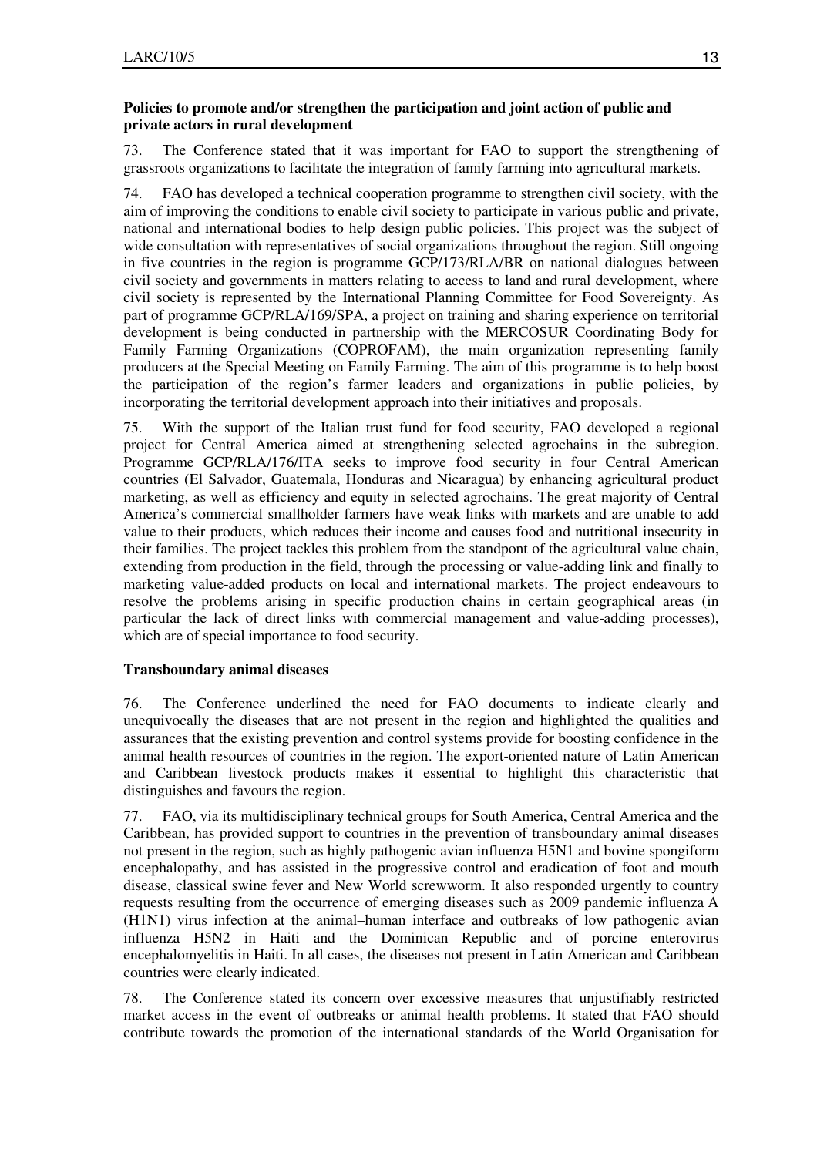# **Policies to promote and/or strengthen the participation and joint action of public and private actors in rural development**

73. The Conference stated that it was important for FAO to support the strengthening of grassroots organizations to facilitate the integration of family farming into agricultural markets.

74. FAO has developed a technical cooperation programme to strengthen civil society, with the aim of improving the conditions to enable civil society to participate in various public and private, national and international bodies to help design public policies. This project was the subject of wide consultation with representatives of social organizations throughout the region. Still ongoing in five countries in the region is programme GCP/173/RLA/BR on national dialogues between civil society and governments in matters relating to access to land and rural development, where civil society is represented by the International Planning Committee for Food Sovereignty. As part of programme GCP/RLA/169/SPA, a project on training and sharing experience on territorial development is being conducted in partnership with the MERCOSUR Coordinating Body for Family Farming Organizations (COPROFAM), the main organization representing family producers at the Special Meeting on Family Farming. The aim of this programme is to help boost the participation of the region's farmer leaders and organizations in public policies, by incorporating the territorial development approach into their initiatives and proposals.

75. With the support of the Italian trust fund for food security, FAO developed a regional project for Central America aimed at strengthening selected agrochains in the subregion. Programme GCP/RLA/176/ITA seeks to improve food security in four Central American countries (El Salvador, Guatemala, Honduras and Nicaragua) by enhancing agricultural product marketing, as well as efficiency and equity in selected agrochains. The great majority of Central America's commercial smallholder farmers have weak links with markets and are unable to add value to their products, which reduces their income and causes food and nutritional insecurity in their families. The project tackles this problem from the standpont of the agricultural value chain, extending from production in the field, through the processing or value-adding link and finally to marketing value-added products on local and international markets. The project endeavours to resolve the problems arising in specific production chains in certain geographical areas (in particular the lack of direct links with commercial management and value-adding processes), which are of special importance to food security.

# **Transboundary animal diseases**

76. The Conference underlined the need for FAO documents to indicate clearly and unequivocally the diseases that are not present in the region and highlighted the qualities and assurances that the existing prevention and control systems provide for boosting confidence in the animal health resources of countries in the region. The export-oriented nature of Latin American and Caribbean livestock products makes it essential to highlight this characteristic that distinguishes and favours the region.

77. FAO, via its multidisciplinary technical groups for South America, Central America and the Caribbean, has provided support to countries in the prevention of transboundary animal diseases not present in the region, such as highly pathogenic avian influenza H5N1 and bovine spongiform encephalopathy, and has assisted in the progressive control and eradication of foot and mouth disease, classical swine fever and New World screwworm. It also responded urgently to country requests resulting from the occurrence of emerging diseases such as 2009 pandemic influenza A (H1N1) virus infection at the animal–human interface and outbreaks of low pathogenic avian influenza H5N2 in Haiti and the Dominican Republic and of porcine enterovirus encephalomyelitis in Haiti. In all cases, the diseases not present in Latin American and Caribbean countries were clearly indicated.

78. The Conference stated its concern over excessive measures that unjustifiably restricted market access in the event of outbreaks or animal health problems. It stated that FAO should contribute towards the promotion of the international standards of the World Organisation for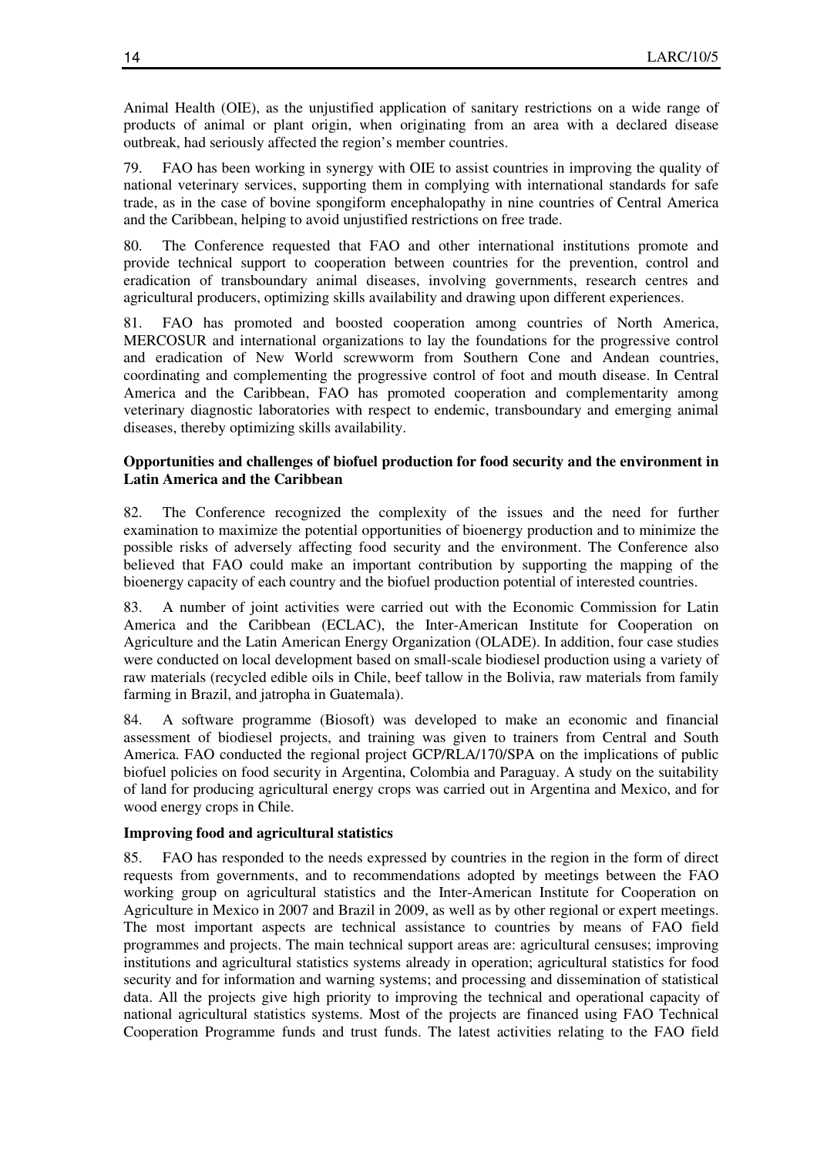Animal Health (OIE), as the unjustified application of sanitary restrictions on a wide range of products of animal or plant origin, when originating from an area with a declared disease outbreak, had seriously affected the region's member countries.

79. FAO has been working in synergy with OIE to assist countries in improving the quality of national veterinary services, supporting them in complying with international standards for safe trade, as in the case of bovine spongiform encephalopathy in nine countries of Central America and the Caribbean, helping to avoid unjustified restrictions on free trade.

80. The Conference requested that FAO and other international institutions promote and provide technical support to cooperation between countries for the prevention, control and eradication of transboundary animal diseases, involving governments, research centres and agricultural producers, optimizing skills availability and drawing upon different experiences.

81. FAO has promoted and boosted cooperation among countries of North America, MERCOSUR and international organizations to lay the foundations for the progressive control and eradication of New World screwworm from Southern Cone and Andean countries, coordinating and complementing the progressive control of foot and mouth disease. In Central America and the Caribbean, FAO has promoted cooperation and complementarity among veterinary diagnostic laboratories with respect to endemic, transboundary and emerging animal diseases, thereby optimizing skills availability.

# **Opportunities and challenges of biofuel production for food security and the environment in Latin America and the Caribbean**

82. The Conference recognized the complexity of the issues and the need for further examination to maximize the potential opportunities of bioenergy production and to minimize the possible risks of adversely affecting food security and the environment. The Conference also believed that FAO could make an important contribution by supporting the mapping of the bioenergy capacity of each country and the biofuel production potential of interested countries.

83. A number of joint activities were carried out with the Economic Commission for Latin America and the Caribbean (ECLAC), the Inter-American Institute for Cooperation on Agriculture and the Latin American Energy Organization (OLADE). In addition, four case studies were conducted on local development based on small-scale biodiesel production using a variety of raw materials (recycled edible oils in Chile, beef tallow in the Bolivia, raw materials from family farming in Brazil, and jatropha in Guatemala).

84. A software programme (Biosoft) was developed to make an economic and financial assessment of biodiesel projects, and training was given to trainers from Central and South America. FAO conducted the regional project GCP/RLA/170/SPA on the implications of public biofuel policies on food security in Argentina, Colombia and Paraguay. A study on the suitability of land for producing agricultural energy crops was carried out in Argentina and Mexico, and for wood energy crops in Chile.

# **Improving food and agricultural statistics**

85. FAO has responded to the needs expressed by countries in the region in the form of direct requests from governments, and to recommendations adopted by meetings between the FAO working group on agricultural statistics and the Inter-American Institute for Cooperation on Agriculture in Mexico in 2007 and Brazil in 2009, as well as by other regional or expert meetings. The most important aspects are technical assistance to countries by means of FAO field programmes and projects. The main technical support areas are: agricultural censuses; improving institutions and agricultural statistics systems already in operation; agricultural statistics for food security and for information and warning systems; and processing and dissemination of statistical data. All the projects give high priority to improving the technical and operational capacity of national agricultural statistics systems. Most of the projects are financed using FAO Technical Cooperation Programme funds and trust funds. The latest activities relating to the FAO field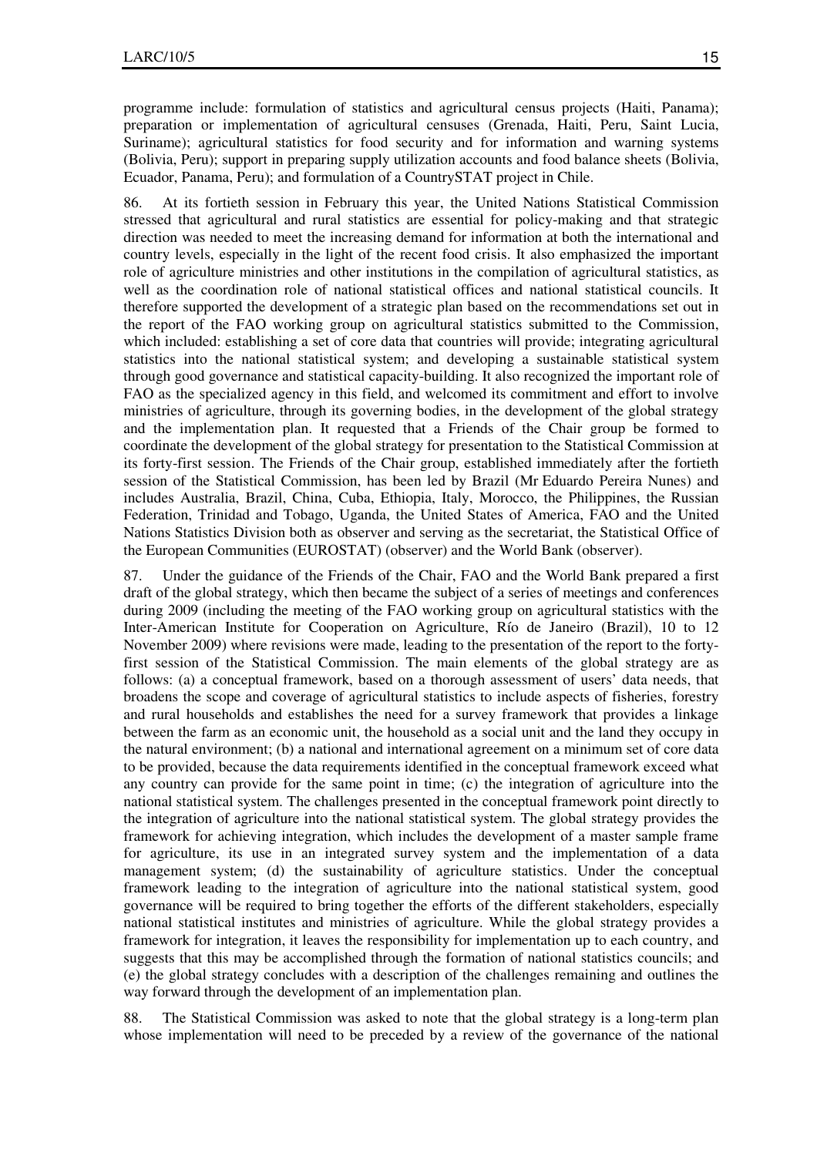programme include: formulation of statistics and agricultural census projects (Haiti, Panama); preparation or implementation of agricultural censuses (Grenada, Haiti, Peru, Saint Lucia, Suriname); agricultural statistics for food security and for information and warning systems (Bolivia, Peru); support in preparing supply utilization accounts and food balance sheets (Bolivia, Ecuador, Panama, Peru); and formulation of a CountrySTAT project in Chile.

86. At its fortieth session in February this year, the United Nations Statistical Commission stressed that agricultural and rural statistics are essential for policy-making and that strategic direction was needed to meet the increasing demand for information at both the international and country levels, especially in the light of the recent food crisis. It also emphasized the important role of agriculture ministries and other institutions in the compilation of agricultural statistics, as well as the coordination role of national statistical offices and national statistical councils. It therefore supported the development of a strategic plan based on the recommendations set out in the report of the FAO working group on agricultural statistics submitted to the Commission, which included: establishing a set of core data that countries will provide; integrating agricultural statistics into the national statistical system; and developing a sustainable statistical system through good governance and statistical capacity-building. It also recognized the important role of FAO as the specialized agency in this field, and welcomed its commitment and effort to involve ministries of agriculture, through its governing bodies, in the development of the global strategy and the implementation plan. It requested that a Friends of the Chair group be formed to coordinate the development of the global strategy for presentation to the Statistical Commission at its forty-first session. The Friends of the Chair group, established immediately after the fortieth session of the Statistical Commission, has been led by Brazil (Mr Eduardo Pereira Nunes) and includes Australia, Brazil, China, Cuba, Ethiopia, Italy, Morocco, the Philippines, the Russian Federation, Trinidad and Tobago, Uganda, the United States of America, FAO and the United Nations Statistics Division both as observer and serving as the secretariat, the Statistical Office of the European Communities (EUROSTAT) (observer) and the World Bank (observer).

87. Under the guidance of the Friends of the Chair, FAO and the World Bank prepared a first draft of the global strategy, which then became the subject of a series of meetings and conferences during 2009 (including the meeting of the FAO working group on agricultural statistics with the Inter-American Institute for Cooperation on Agriculture, Río de Janeiro (Brazil), 10 to 12 November 2009) where revisions were made, leading to the presentation of the report to the fortyfirst session of the Statistical Commission. The main elements of the global strategy are as follows: (a) a conceptual framework, based on a thorough assessment of users' data needs, that broadens the scope and coverage of agricultural statistics to include aspects of fisheries, forestry and rural households and establishes the need for a survey framework that provides a linkage between the farm as an economic unit, the household as a social unit and the land they occupy in the natural environment; (b) a national and international agreement on a minimum set of core data to be provided, because the data requirements identified in the conceptual framework exceed what any country can provide for the same point in time; (c) the integration of agriculture into the national statistical system. The challenges presented in the conceptual framework point directly to the integration of agriculture into the national statistical system. The global strategy provides the framework for achieving integration, which includes the development of a master sample frame for agriculture, its use in an integrated survey system and the implementation of a data management system; (d) the sustainability of agriculture statistics. Under the conceptual framework leading to the integration of agriculture into the national statistical system, good governance will be required to bring together the efforts of the different stakeholders, especially national statistical institutes and ministries of agriculture. While the global strategy provides a framework for integration, it leaves the responsibility for implementation up to each country, and suggests that this may be accomplished through the formation of national statistics councils; and (e) the global strategy concludes with a description of the challenges remaining and outlines the way forward through the development of an implementation plan.

88. The Statistical Commission was asked to note that the global strategy is a long-term plan whose implementation will need to be preceded by a review of the governance of the national